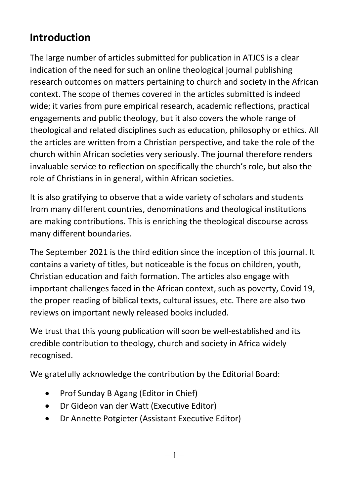## Introduction

The large number of articles submitted for publication in ATJCS is a clear indication of the need for such an online theological journal publishing research outcomes on matters pertaining to church and society in the African context. The scope of themes covered in the articles submitted is indeed wide; it varies from pure empirical research, academic reflections, practical engagements and public theology, but it also covers the whole range of theological and related disciplines such as education, philosophy or ethics. All the articles are written from a Christian perspective, and take the role of the church within African societies very seriously. The journal therefore renders invaluable service to reflection on specifically the church's role, but also the role of Christians in in general, within African societies.

It is also gratifying to observe that a wide variety of scholars and students from many different countries, denominations and theological institutions are making contributions. This is enriching the theological discourse across many different boundaries.

The September 2021 is the third edition since the inception of this journal. It contains a variety of titles, but noticeable is the focus on children, youth, Christian education and faith formation. The articles also engage with important challenges faced in the African context, such as poverty, Covid 19, the proper reading of biblical texts, cultural issues, etc. There are also two reviews on important newly released books included.

We trust that this young publication will soon be well-established and its credible contribution to theology, church and society in Africa widely recognised.

We gratefully acknowledge the contribution by the Editorial Board:

- Prof Sunday B Agang (Editor in Chief)
- Dr Gideon van der Watt (Executive Editor)
- Dr Annette Potgieter (Assistant Executive Editor)